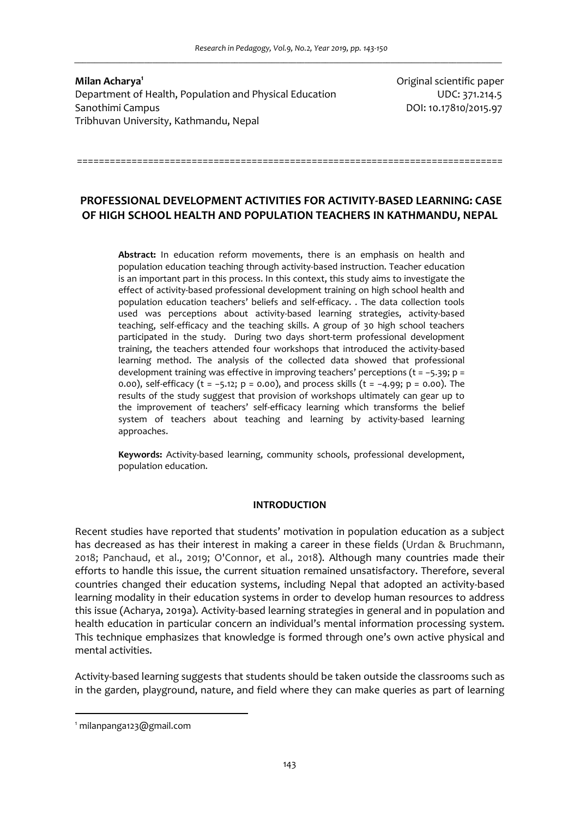**Milan Acharya<sup>1</sup>** Department of Health, Population and Physical Education **Example 2018** UDC: 371.214.5 Sanothimi Campus DOI: 10.17810/2015.97 Tribhuvan University, Kathmandu, Nepal

Original scientific paper

# **PROFESSIONAL DEVELOPMENT ACTIVITIES FOR ACTIVITY-BASED LEARNING: CASE OF HIGH SCHOOL HEALTH AND POPULATION TEACHERS IN KATHMANDU, NEPAL**

==============================================================================

**Abstract:** In education reform movements, there is an emphasis on health and population education teaching through activity-based instruction. Teacher education is an important part in this process. In this context, this study aims to investigate the effect of activity-based professional development training on high school health and population education teachers' beliefs and self-efficacy. . The data collection tools used was perceptions about activity-based learning strategies, activity-based teaching, self-efficacy and the teaching skills. A group of 30 high school teachers participated in the study. During two days short-term professional development training, the teachers attended four workshops that introduced the activity-based learning method. The analysis of the collected data showed that professional development training was effective in improving teachers' perceptions (t = −5.39; p = 0.00), self-efficacy (t = −5.12; p = 0.00), and process skills (t = −4.99; p = 0.00). The results of the study suggest that provision of workshops ultimately can gear up to the improvement of teachers' self-efficacy learning which transforms the belief system of teachers about teaching and learning by activity-based learning approaches.

**Keywords:** Activity-based learning, community schools, professional development, population education.

### **INTRODUCTION**

Recent studies have reported that students' motivation in population education as a subject has decreased as has their interest in making a career in these fields (Urdan & Bruchmann, 2018; Panchaud, et al., 2019; O'Connor, et al., 2018). Although many countries made their efforts to handle this issue, the current situation remained unsatisfactory. Therefore, several countries changed their education systems, including Nepal that adopted an activity-based learning modality in their education systems in order to develop human resources to address this issue (Acharya, 2019a). Activity-based learning strategies in general and in population and health education in particular concern an individual's mental information processing system. This technique emphasizes that knowledge is formed through one's own active physical and mental activities.

Activity-based learning suggests that students should be taken outside the classrooms such as in the garden, playground, nature, and field where they can make queries as part of learning

 $\overline{a}$ 

<sup>1</sup> milanpanga123@gmail.com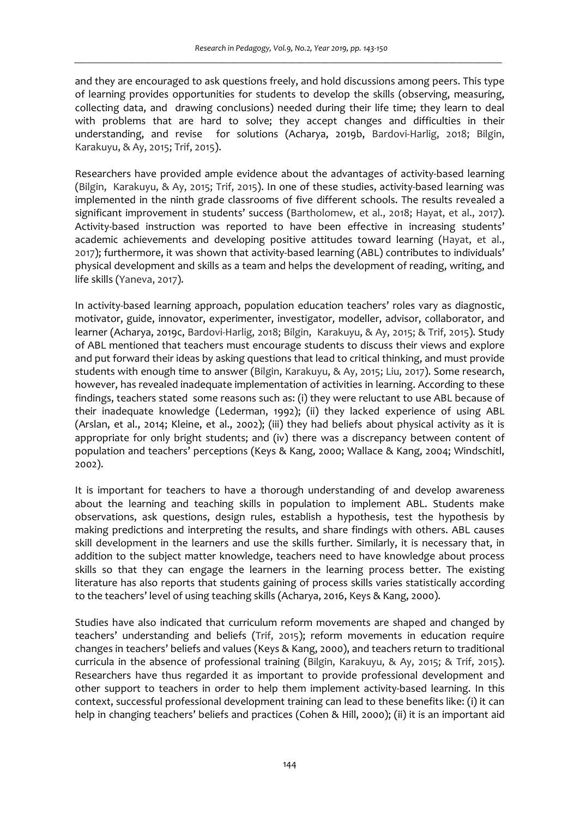and they are encouraged to ask questions freely, and hold discussions among peers. This type of learning provides opportunities for students to develop the skills (observing, measuring, collecting data, and drawing conclusions) needed during their life time; they learn to deal with problems that are hard to solve; they accept changes and difficulties in their understanding, and revise for solutions (Acharya, 2019b, Bardovi-Harlig, 2018; Bilgin, Karakuyu, & Ay, 2015; Trif, 2015).

Researchers have provided ample evidence about the advantages of activity-based learning (Bilgin, Karakuyu, & Ay, 2015; Trif, 2015). In one of these studies, activity-based learning was implemented in the ninth grade classrooms of five different schools. The results revealed a significant improvement in students' success (Bartholomew, et al., 2018; Hayat, et al., 2017). Activity-based instruction was reported to have been effective in increasing students' academic achievements and developing positive attitudes toward learning (Hayat, et al., 2017); furthermore, it was shown that activity-based learning (ABL) contributes to individuals' physical development and skills as a team and helps the development of reading, writing, and life skills (Yaneva, 2017).

In activity-based learning approach, population education teachers' roles vary as diagnostic, motivator, guide, innovator, experimenter, investigator, modeller, advisor, collaborator, and learner (Acharya, 2019c, Bardovi-Harlig, 2018; Bilgin, Karakuyu, & Ay, 2015; & Trif, 2015). Study of ABL mentioned that teachers must encourage students to discuss their views and explore and put forward their ideas by asking questions that lead to critical thinking, and must provide students with enough time to answer (Bilgin, Karakuyu, & Ay, 2015; Liu, 2017). Some research, however, has revealed inadequate implementation of activities in learning. According to these findings, teachers stated some reasons such as: (i) they were reluctant to use ABL because of their inadequate knowledge (Lederman, 1992); (ii) they lacked experience of using ABL (Arslan, et al., 2014; Kleine, et al., 2002); (iii) they had beliefs about physical activity as it is appropriate for only bright students; and (iv) there was a discrepancy between content of population and teachers' perceptions (Keys & Kang, 2000; Wallace & Kang, 2004; Windschitl, 2002).

It is important for teachers to have a thorough understanding of and develop awareness about the learning and teaching skills in population to implement ABL. Students make observations, ask questions, design rules, establish a hypothesis, test the hypothesis by making predictions and interpreting the results, and share findings with others. ABL causes skill development in the learners and use the skills further. Similarly, it is necessary that, in addition to the subject matter knowledge, teachers need to have knowledge about process skills so that they can engage the learners in the learning process better. The existing literature has also reports that students gaining of process skills varies statistically according to the teachers' level of using teaching skills (Acharya, 2016, Keys & Kang, 2000).

Studies have also indicated that curriculum reform movements are shaped and changed by teachers' understanding and beliefs (Trif, 2015); reform movements in education require changes in teachers' beliefs and values (Keys & Kang, 2000), and teachers return to traditional curricula in the absence of professional training (Bilgin, Karakuyu, & Ay, 2015; & Trif, 2015). Researchers have thus regarded it as important to provide professional development and other support to teachers in order to help them implement activity-based learning. In this context, successful professional development training can lead to these benefits like: (i) it can help in changing teachers' beliefs and practices (Cohen & Hill, 2000); (ii) it is an important aid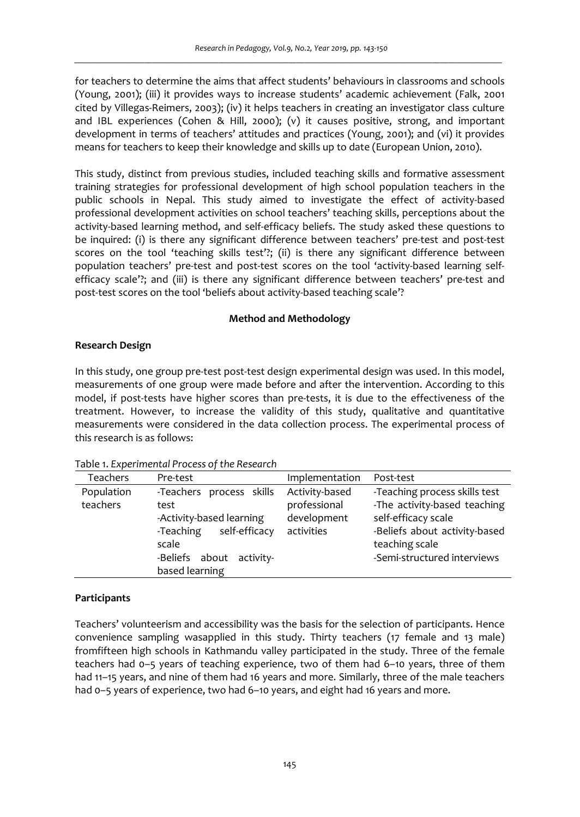for teachers to determine the aims that affect students' behaviours in classrooms and schools (Young, 2001); (iii) it provides ways to increase students' academic achievement (Falk, 2001 cited by Villegas-Reimers, 2003); (iv) it helps teachers in creating an investigator class culture and IBL experiences (Cohen & Hill, 2000); (v) it causes positive, strong, and important development in terms of teachers' attitudes and practices (Young, 2001); and (vi) it provides means for teachers to keep their knowledge and skills up to date (European Union, 2010).

This study, distinct from previous studies, included teaching skills and formative assessment training strategies for professional development of high school population teachers in the public schools in Nepal. This study aimed to investigate the effect of activity-based professional development activities on school teachers' teaching skills, perceptions about the activity-based learning method, and self-efficacy beliefs. The study asked these questions to be inquired: (i) is there any significant difference between teachers' pre-test and post-test scores on the tool 'teaching skills test'?; (ii) is there any significant difference between population teachers' pre-test and post-test scores on the tool 'activity-based learning selfefficacy scale'?; and (iii) is there any significant difference between teachers' pre-test and post-test scores on the tool 'beliefs about activity-based teaching scale'?

## **Method and Methodology**

# **Research Design**

In this study, one group pre-test post-test design experimental design was used. In this model, measurements of one group were made before and after the intervention. According to this model, if post-tests have higher scores than pre-tests, it is due to the effectiveness of the treatment. However, to increase the validity of this study, qualitative and quantitative measurements were considered in the data collection process. The experimental process of this research is as follows:

| <b>Teachers</b>        | Pre-test                                                                                                                                             | Implementation                                              | Post-test                                                                                                                                                              |
|------------------------|------------------------------------------------------------------------------------------------------------------------------------------------------|-------------------------------------------------------------|------------------------------------------------------------------------------------------------------------------------------------------------------------------------|
| Population<br>teachers | -Teachers process skills<br>test<br>-Activity-based learning<br>self-efficacy<br>-Teaching<br>scale<br>-Beliefs about<br>activity-<br>based learning | Activity-based<br>professional<br>development<br>activities | -Teaching process skills test<br>-The activity-based teaching<br>self-efficacy scale<br>-Beliefs about activity-based<br>teaching scale<br>-Semi-structured interviews |

Table 1. *Experimental Process of the Research*

## **Participants**

Teachers' volunteerism and accessibility was the basis for the selection of participants. Hence convenience sampling wasapplied in this study. Thirty teachers (17 female and 13 male) fromfifteen high schools in Kathmandu valley participated in the study. Three of the female teachers had 0–5 years of teaching experience, two of them had 6–10 years, three of them had 11-15 years, and nine of them had 16 years and more. Similarly, three of the male teachers had 0–5 years of experience, two had 6–10 years, and eight had 16 years and more.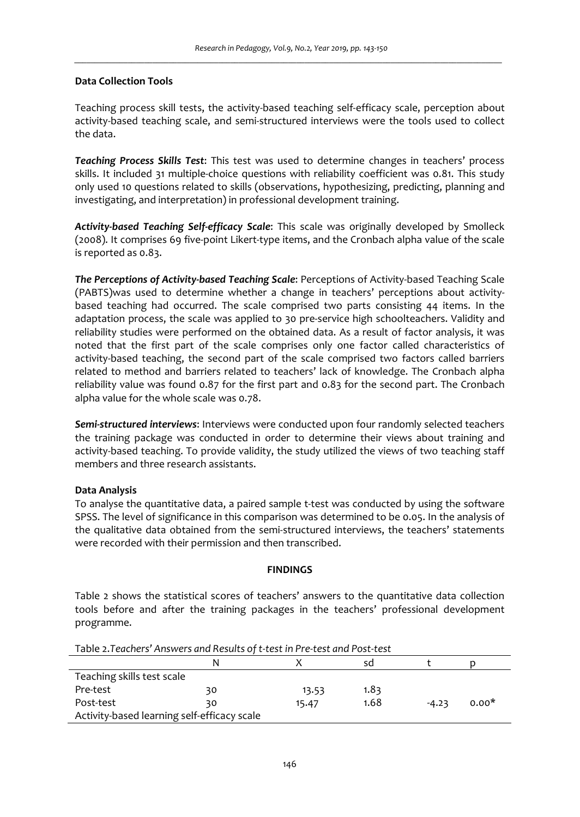### **Data Collection Tools**

Teaching process skill tests, the activity-based teaching self-efficacy scale, perception about activity-based teaching scale, and semi-structured interviews were the tools used to collect the data.

*Teaching Process Skills Test*: This test was used to determine changes in teachers' process skills. It included 31 multiple-choice questions with reliability coefficient was 0.81. This study only used 10 questions related to skills (observations, hypothesizing, predicting, planning and investigating, and interpretation) in professional development training.

*Activity-based Teaching Self-efficacy Scale*: This scale was originally developed by Smolleck (2008). It comprises 69 five-point Likert-type items, and the Cronbach alpha value of the scale is reported as 0.83.

*The Perceptions of Activity-based Teaching Scale*: Perceptions of Activity-based Teaching Scale (PABTS)was used to determine whether a change in teachers' perceptions about activitybased teaching had occurred. The scale comprised two parts consisting 44 items. In the adaptation process, the scale was applied to 30 pre-service high schoolteachers. Validity and reliability studies were performed on the obtained data. As a result of factor analysis, it was noted that the first part of the scale comprises only one factor called characteristics of activity-based teaching, the second part of the scale comprised two factors called barriers related to method and barriers related to teachers' lack of knowledge. The Cronbach alpha reliability value was found 0.87 for the first part and 0.83 for the second part. The Cronbach alpha value for the whole scale was 0.78.

*Semi-structured interviews*: Interviews were conducted upon four randomly selected teachers the training package was conducted in order to determine their views about training and activity-based teaching. To provide validity, the study utilized the views of two teaching staff members and three research assistants.

## **Data Analysis**

To analyse the quantitative data, a paired sample t-test was conducted by using the software SPSS. The level of significance in this comparison was determined to be 0.05. In the analysis of the qualitative data obtained from the semi-structured interviews, the teachers' statements were recorded with their permission and then transcribed.

### **FINDINGS**

Table 2 shows the statistical scores of teachers' answers to the quantitative data collection tools before and after the training packages in the teachers' professional development programme.

| Table 2.Teachers Ariswers and Results Of t-test in Pre-test and Post-test |    |       |      |         |         |  |  |
|---------------------------------------------------------------------------|----|-------|------|---------|---------|--|--|
|                                                                           | N  |       | sd   |         |         |  |  |
| Teaching skills test scale                                                |    |       |      |         |         |  |  |
| Pre-test                                                                  | 30 | 13.53 | 1.83 |         |         |  |  |
| Post-test                                                                 | 30 | 15.47 | 1.68 | $-4.23$ | $0.00*$ |  |  |
| Activity-based learning self-efficacy scale                               |    |       |      |         |         |  |  |

Table 2.*Teachers' Answers and Results of t-test in Pre-test and Post-test*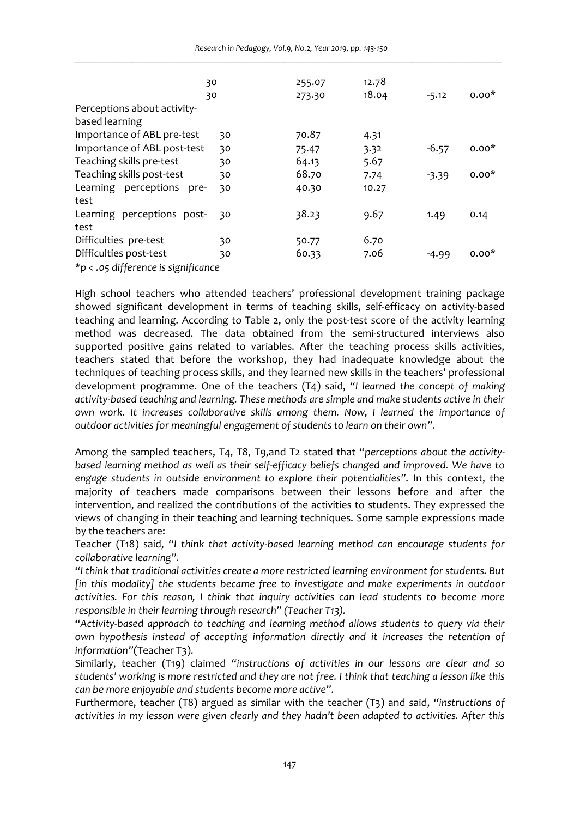| 30                          |    | 255.07 | 12.78 |         |         |
|-----------------------------|----|--------|-------|---------|---------|
| 30                          |    | 273.30 | 18.04 | $-5.12$ | $0.00*$ |
| Perceptions about activity- |    |        |       |         |         |
| based learning              |    |        |       |         |         |
| Importance of ABL pre-test  | 30 | 70.87  | 4.31  |         |         |
| Importance of ABL post-test | 30 | 75.47  | 3.32  | $-6.57$ | $0.00*$ |
| Teaching skills pre-test    | 30 | 64.13  | 5.67  |         |         |
| Teaching skills post-test   | 30 | 68.70  | 7.74  | $-3.39$ | $0.00*$ |
| Learning perceptions pre-   | 30 | 40.30  | 10.27 |         |         |
| test                        |    |        |       |         |         |
| Learning perceptions post-  | 30 | 38.23  | 9.67  | 1.49    | 0.14    |
| test                        |    |        |       |         |         |
| Difficulties pre-test       | 30 | 50.77  | 6.70  |         |         |
| Difficulties post-test      | 30 | 60.33  | 7.06  | $-4.99$ | $0.00*$ |
| $\cdot$ $\cdot$<br>$\cdots$ |    |        |       |         |         |

*Research in Pedagogy, Vol.9, No.2, Year 2019, pp. 143-150 \_\_\_\_\_\_\_\_\_\_\_\_\_\_\_\_\_\_\_\_\_\_\_\_\_\_\_\_\_\_\_\_\_\_\_\_\_\_\_\_\_\_\_\_\_\_\_\_\_\_\_\_\_\_\_\_\_\_\_\_\_\_\_\_\_\_\_\_\_\_\_\_\_\_\_\_\_\_\_\_\_\_\_\_\_\_\_\_\_\_\_\_\_\_\_\_\_\_\_\_\_\_\_\_*

*\*p < .05 difference is significance* 

High school teachers who attended teachers' professional development training package showed significant development in terms of teaching skills, self-efficacy on activity-based teaching and learning. According to Table 2, only the post-test score of the activity learning method was decreased. The data obtained from the semi-structured interviews also supported positive gains related to variables. After the teaching process skills activities, teachers stated that before the workshop, they had inadequate knowledge about the techniques of teaching process skills, and they learned new skills in the teachers' professional development programme. One of the teachers (T4) said, *"I learned the concept of making activity-based teaching and learning. These methods are simple and make students active in their own work. It increases collaborative skills among them. Now, I learned the importance of outdoor activities for meaningful engagement of students to learn on their own".* 

Among the sampled teachers, T4, T8, T9,and T2 stated that *"perceptions about the activitybased learning method as well as their self-efficacy beliefs changed and improved. We have to engage students in outside environment to explore their potentialities".* In this context, the majority of teachers made comparisons between their lessons before and after the intervention, and realized the contributions of the activities to students. They expressed the views of changing in their teaching and learning techniques. Some sample expressions made by the teachers are:

Teacher (T18) said, *"I think that activity-based learning method can encourage students for collaborative learning".*

*"I think that traditional activities create a more restricted learning environment for students. But [in this modality] the students became free to investigate and make experiments in outdoor activities. For this reason, I think that inquiry activities can lead students to become more responsible in their learning through research" (Teacher T13).*

*"Activity-based approach to teaching and learning method allows students to query via their own hypothesis instead of accepting information directly and it increases the retention of information"*(Teacher T3).

Similarly, teacher (T19) claimed *"instructions of activities in our lessons are clear and so students' working is more restricted and they are not free. I think that teaching a lesson like this can be more enjoyable and students become more active".* 

Furthermore, teacher (T8) argued as similar with the teacher (T3) and said, *"instructions of activities in my lesson were given clearly and they hadn't been adapted to activities. After this*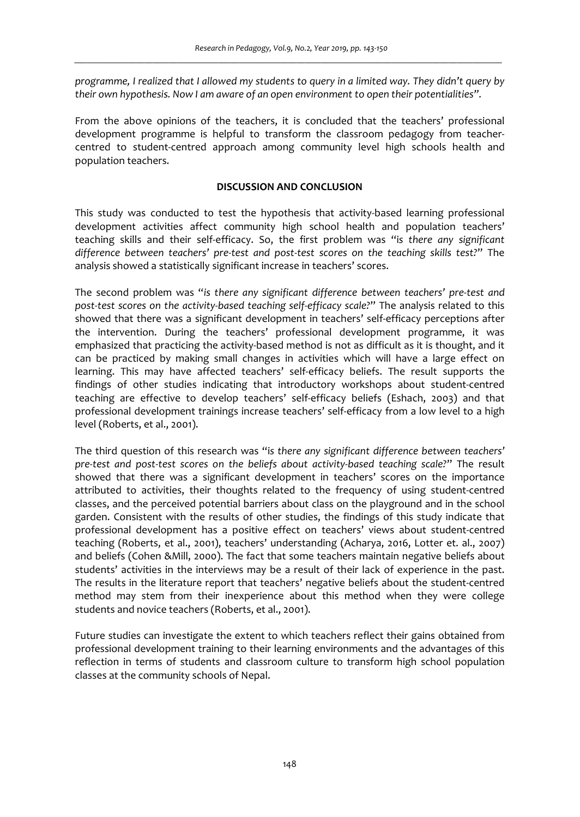*programme, I realized that I allowed my students to query in a limited way. They didn't query by their own hypothesis. Now I am aware of an open environment to open their potentialities".*

From the above opinions of the teachers, it is concluded that the teachers' professional development programme is helpful to transform the classroom pedagogy from teachercentred to student-centred approach among community level high schools health and population teachers.

### **DISCUSSION AND CONCLUSION**

This study was conducted to test the hypothesis that activity-based learning professional development activities affect community high school health and population teachers' teaching skills and their self-efficacy. So, the first problem was "i*s there any significant difference between teachers' pre-test and post-test scores on the teaching skills test?*" The analysis showed a statistically significant increase in teachers' scores.

The second problem was "*is there any significant difference between teachers' pre-test and post-test scores on the activity-based teaching self-efficacy scale?*" The analysis related to this showed that there was a significant development in teachers' self-efficacy perceptions after the intervention. During the teachers' professional development programme, it was emphasized that practicing the activity-based method is not as difficult as it is thought, and it can be practiced by making small changes in activities which will have a large effect on learning. This may have affected teachers' self-efficacy beliefs. The result supports the findings of other studies indicating that introductory workshops about student-centred teaching are effective to develop teachers' self-efficacy beliefs (Eshach, 2003) and that professional development trainings increase teachers' self-efficacy from a low level to a high level (Roberts, et al., 2001).

The third question of this research was "i*s there any significant difference between teachers' pre-test and post-test scores on the beliefs about activity-based teaching scale?*" The result showed that there was a significant development in teachers' scores on the importance attributed to activities, their thoughts related to the frequency of using student-centred classes, and the perceived potential barriers about class on the playground and in the school garden. Consistent with the results of other studies, the findings of this study indicate that professional development has a positive effect on teachers' views about student-centred teaching (Roberts, et al., 2001), teachers' understanding (Acharya, 2016, Lotter et. al., 2007) and beliefs (Cohen &Mill, 2000). The fact that some teachers maintain negative beliefs about students' activities in the interviews may be a result of their lack of experience in the past. The results in the literature report that teachers' negative beliefs about the student-centred method may stem from their inexperience about this method when they were college students and novice teachers (Roberts, et al., 2001).

Future studies can investigate the extent to which teachers reflect their gains obtained from professional development training to their learning environments and the advantages of this reflection in terms of students and classroom culture to transform high school population classes at the community schools of Nepal.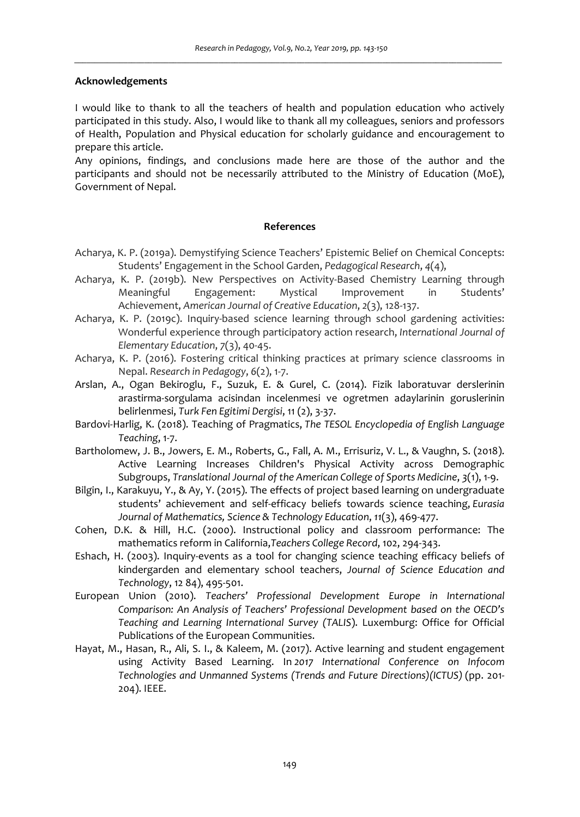### **Acknowledgements**

I would like to thank to all the teachers of health and population education who actively participated in this study. Also, I would like to thank all my colleagues, seniors and professors of Health, Population and Physical education for scholarly guidance and encouragement to prepare this article.

Any opinions, findings, and conclusions made here are those of the author and the participants and should not be necessarily attributed to the Ministry of Education (MoE), Government of Nepal.

### **References**

- Acharya, K. P. (2019a). Demystifying Science Teachers' Epistemic Belief on Chemical Concepts: Students' Engagement in the School Garden, *Pedagogical Research*, *4*(4),
- Acharya, K. P. (2019b). New Perspectives on Activity-Based Chemistry Learning through Meaningful Engagement: Mystical Improvement in Students' Achievement, *American Journal of Creative Education*, *2*(3), 128-137.
- Acharya, K. P. (2019c). Inquiry-based science learning through school gardening activities: Wonderful experience through participatory action research, *International Journal of Elementary Education*, *7*(3), 40-45.
- Acharya, K. P. (2016). Fostering critical thinking practices at primary science classrooms in Nepal. *Research in Pedagogy*, *6*(2), 1-7.
- Arslan, A., Ogan Bekiroglu, F., Suzuk, E. & Gurel, C. (2014). Fizik laboratuvar derslerinin arastirma-sorgulama acisindan incelenmesi ve ogretmen adaylarinin goruslerinin belirlenmesi, *Turk Fen Egitimi Dergisi*, 11 (2), 3-37.
- Bardovi-Harlig, K. (2018). Teaching of Pragmatics, *The TESOL Encyclopedia of English Language Teaching*, 1-7.
- Bartholomew, J. B., Jowers, E. M., Roberts, G., Fall, A. M., Errisuriz, V. L., & Vaughn, S. (2018). Active Learning Increases Children's Physical Activity across Demographic Subgroups, *Translational Journal of the American College of Sports Medicine*, *3*(1), 1-9.
- Bilgin, I., Karakuyu, Y., & Ay, Y. (2015). The effects of project based learning on undergraduate students' achievement and self-efficacy beliefs towards science teaching, *Eurasia Journal of Mathematics, Science & Technology Education*, *11*(3), 469-477.
- Cohen, D.K. & Hill, H.C. (2000). Instructional policy and classroom performance: The mathematics reform in California,*Teachers College Record*, 102, 294-343.
- Eshach, H. (2003). Inquiry-events as a tool for changing science teaching efficacy beliefs of kindergarden and elementary school teachers, *Journal of Science Education and Technology*, 12 84), 495-501.
- European Union (2010). *Teachers' Professional Development Europe in International Comparison: An Analysis of Teachers' Professional Development based on the OECD's Teaching and Learning International Survey (TALIS*). Luxemburg: Office for Official Publications of the European Communities.
- Hayat, M., Hasan, R., Ali, S. I., & Kaleem, M. (2017). Active learning and student engagement using Activity Based Learning. In *2017 International Conference on Infocom Technologies and Unmanned Systems (Trends and Future Directions)(ICTUS)* (pp. 201- 204). IEEE.